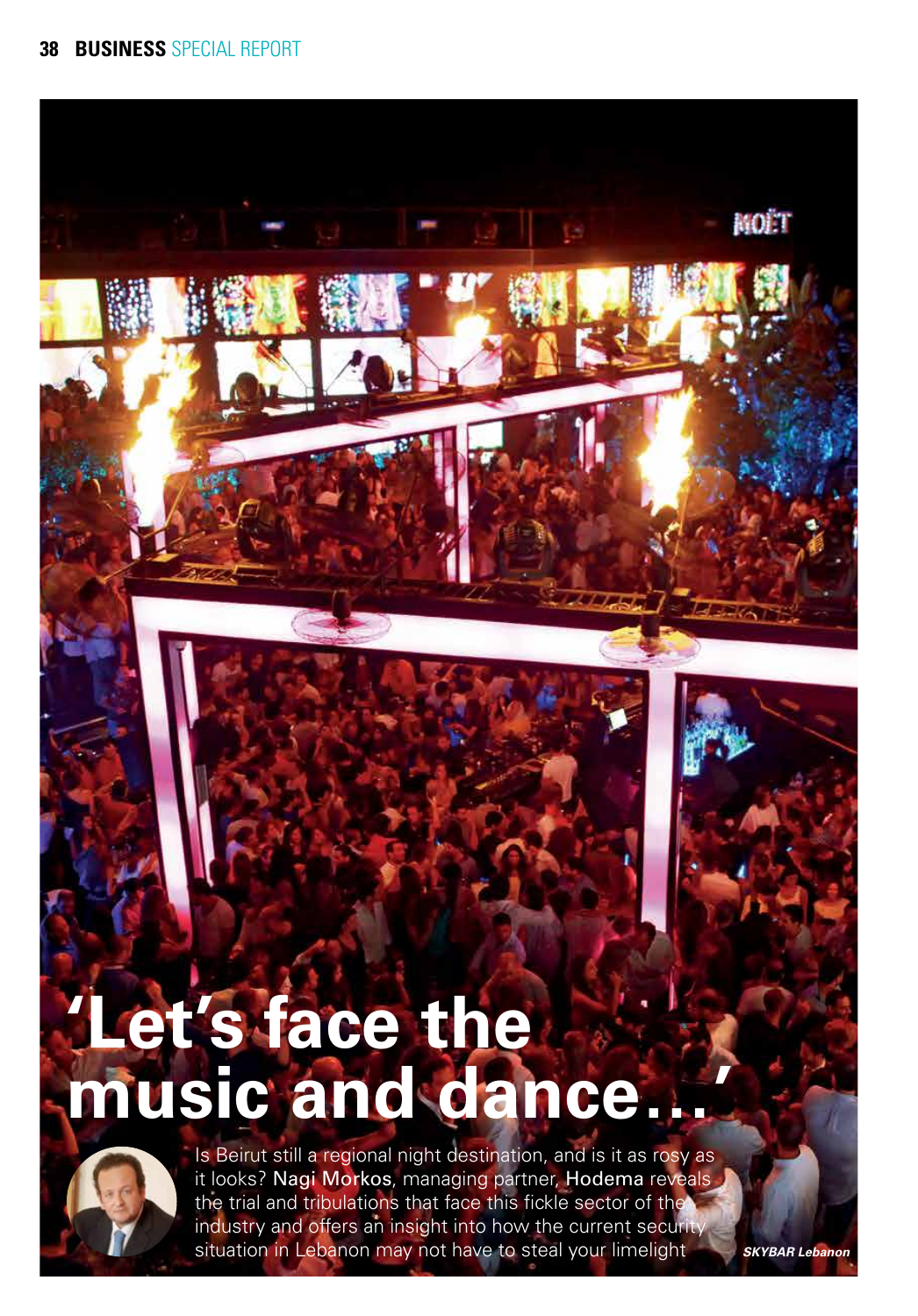

**music and dance…'**



Is Beirut still a regional night destination, and is it as rosy as it looks? Nagi Morkos, managing partner, Hodema reveals the trial and tribulations that face this fickle sector of the industry and offers an insight into how the current security situation in Lebanon may not have to steal your limelight

*SKYBAR Lebanon*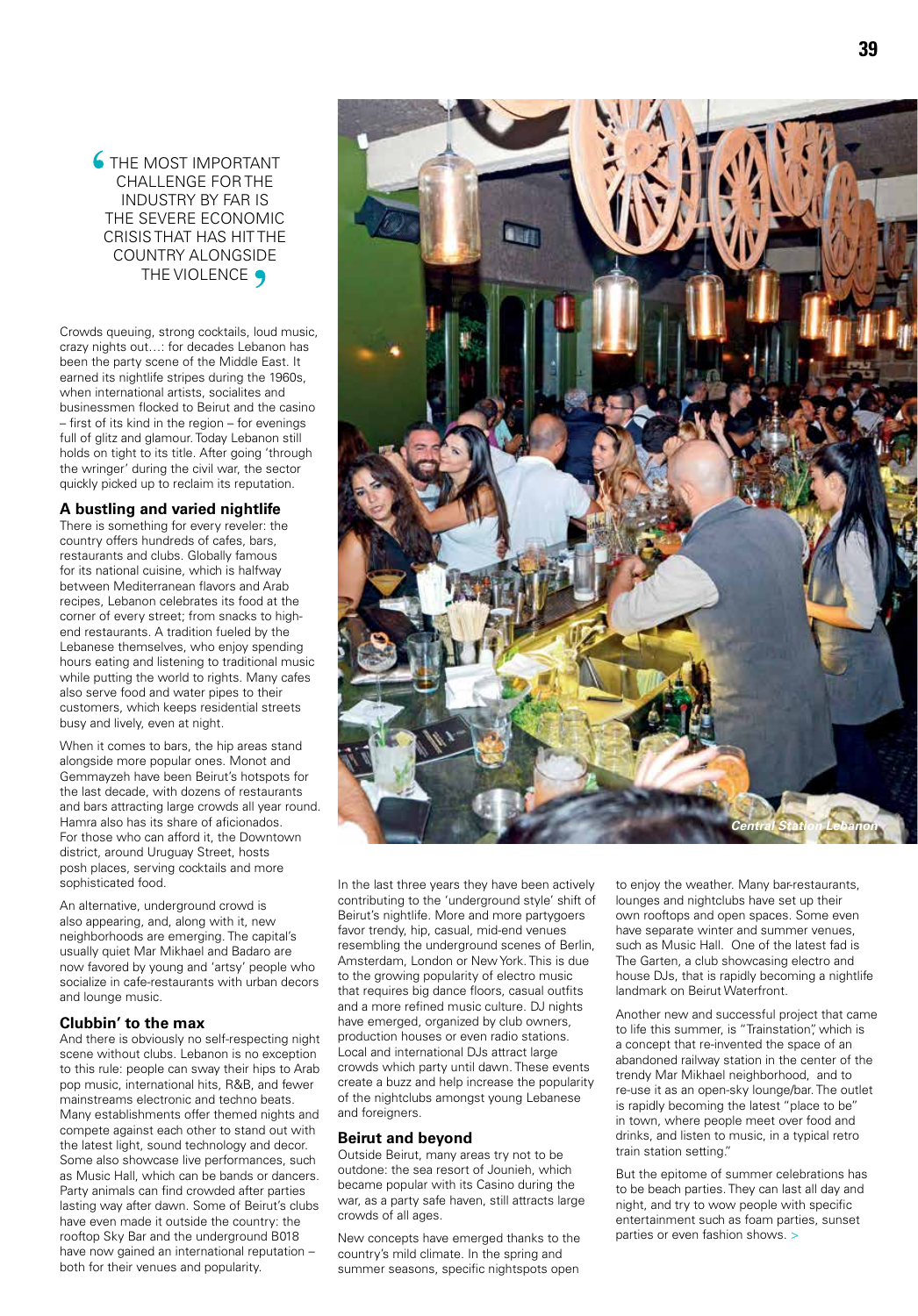**6** THE MOST IMPORTANT CHALLENGE FOR THE INDUSTRY BY FAR IS THE SEVERE ECONOMIC CRISIS THAT HAS HIT THE COUNTRY ALONGSIDE THE VIOLENCE  $\bigcirc$ 

Crowds queuing, strong cocktails, loud music, crazy nights out…: for decades Lebanon has been the party scene of the Middle East. It earned its nightlife stripes during the 1960s, when international artists, socialites and businessmen flocked to Beirut and the casino – first of its kind in the region – for evenings full of glitz and glamour. Today Lebanon still holds on tight to its title. After going 'through the wringer' during the civil war, the sector quickly picked up to reclaim its reputation.

## **A bustling and varied nightlife**

There is something for every reveler: the country offers hundreds of cafes, bars, restaurants and clubs. Globally famous for its national cuisine, which is halfway between Mediterranean flavors and Arab recipes, Lebanon celebrates its food at the corner of every street; from snacks to highend restaurants. A tradition fueled by the Lebanese themselves, who enjoy spending hours eating and listening to traditional music while putting the world to rights. Many cafes also serve food and water pipes to their customers, which keeps residential streets busy and lively, even at night.

When it comes to bars, the hip areas stand alongside more popular ones. Monot and Gemmayzeh have been Beirut's hotspots for the last decade, with dozens of restaurants and bars attracting large crowds all year round. Hamra also has its share of aficionados. For those who can afford it, the Downtown district, around Uruguay Street, hosts posh places, serving cocktails and more sophisticated food.

An alternative, underground crowd is also appearing, and, along with it, new neighborhoods are emerging. The capital's usually quiet Mar Mikhael and Badaro are now favored by young and 'artsy' people who socialize in cafe-restaurants with urban decors and lounge music.

### **Clubbin' to the max**

And there is obviously no self-respecting night scene without clubs. Lebanon is no exception to this rule: people can sway their hips to Arab pop music, international hits, R&B, and fewer mainstreams electronic and techno beats. Many establishments offer themed nights and compete against each other to stand out with the latest light, sound technology and decor. Some also showcase live performances, such as Music Hall, which can be bands or dancers. Party animals can find crowded after parties lasting way after dawn. Some of Beirut's clubs have even made it outside the country: the rooftop Sky Bar and the underground B018 have now gained an international reputation – both for their venues and popularity.

In the last three years they have been actively contributing to the 'underground style' shift of Beirut's nightlife. More and more partygoers favor trendy, hip, casual, mid-end venues resembling the underground scenes of Berlin, Amsterdam, London or New York. This is due to the growing popularity of electro music that requires big dance floors, casual outfits and a more refined music culture. DJ nights have emerged, organized by club owners, production houses or even radio stations. Local and international DJs attract large crowds which party until dawn. These events create a buzz and help increase the popularity of the nightclubs amongst young Lebanese and foreigners.

### **Beirut and beyond**

Outside Beirut, many areas try not to be outdone: the sea resort of Jounieh, which became popular with its Casino during the war, as a party safe haven, still attracts large crowds of all ages.

New concepts have emerged thanks to the country's mild climate. In the spring and summer seasons, specific nightspots open

to enjoy the weather. Many bar-restaurants, lounges and nightclubs have set up their own rooftops and open spaces. Some even have separate winter and summer venues, such as Music Hall. One of the latest fad is The Garten, a club showcasing electro and house DJs, that is rapidly becoming a nightlife landmark on Beirut Waterfront.

Another new and successful project that came to life this summer, is "Trainstation", which is a concept that re-invented the space of an abandoned railway station in the center of the trendy Mar Mikhael neighborhood, and to re-use it as an open-sky lounge/bar. The outlet is rapidly becoming the latest "place to be" in town, where people meet over food and drinks, and listen to music, in a typical retro train station setting."

But the epitome of summer celebrations has to be beach parties. They can last all day and night, and try to wow people with specific entertainment such as foam parties, sunset parties or even fashion shows. >